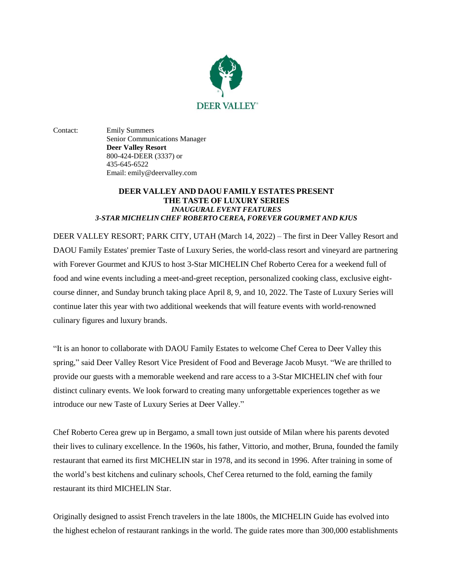

Contact: Emily Summers Senior Communications Manager **Deer Valley Resort** 800-424-DEER (3337) or 435-645-6522 Email: emily@deervalley.com

### **DEER VALLEY AND DAOU FAMILY ESTATES PRESENT THE TASTE OF LUXURY SERIES**  *INAUGURAL EVENT FEATURES 3-STAR MICHELIN CHEF ROBERTO CEREA, FOREVER GOURMET AND KJUS*

DEER VALLEY RESORT; PARK CITY, UTAH (March 14, 2022) – The first in Deer Valley Resort and DAOU Family Estates' premier Taste of Luxury Series, the world-class resort and vineyard are partnering with Forever Gourmet and KJUS to host 3-Star MICHELIN Chef Roberto Cerea for a weekend full of food and wine events including a meet-and-greet reception, personalized cooking class, exclusive eightcourse dinner, and Sunday brunch taking place April 8, 9, and 10, 2022. The Taste of Luxury Series will continue later this year with two additional weekends that will feature events with world-renowned culinary figures and luxury brands.

"It is an honor to collaborate with DAOU Family Estates to welcome Chef Cerea to Deer Valley this spring," said Deer Valley Resort Vice President of Food and Beverage Jacob Musyt. "We are thrilled to provide our guests with a memorable weekend and rare access to a 3-Star MICHELIN chef with four distinct culinary events. We look forward to creating many unforgettable experiences together as we introduce our new Taste of Luxury Series at Deer Valley."

Chef Roberto Cerea grew up in Bergamo, a small town just outside of Milan where his parents devoted their lives to culinary excellence. In the 1960s, his father, Vittorio, and mother, Bruna, founded the family restaurant that earned its first MICHELIN star in 1978, and its second in 1996. After training in some of the world's best kitchens and culinary schools, Chef Cerea returned to the fold, earning the family restaurant its third MICHELIN Star.

Originally designed to assist French travelers in the late 1800s, the MICHELIN Guide has evolved into the highest echelon of restaurant rankings in the world. The guide rates more than 300,000 establishments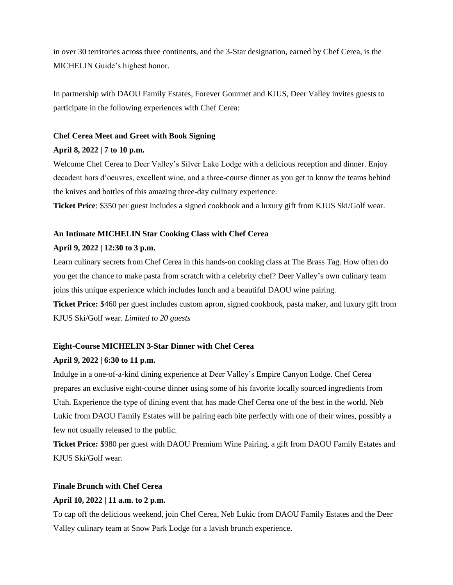in over 30 territories across three continents, and the 3-Star designation, earned by Chef Cerea, is the MICHELIN Guide's highest honor.

In partnership with DAOU Family Estates, Forever Gourmet and KJUS, Deer Valley invites guests to participate in the following experiences with Chef Cerea:

#### **Chef Cerea Meet and Greet with Book Signing**

#### **April 8, 2022 | 7 to 10 p.m.**

Welcome Chef Cerea to Deer Valley's Silver Lake Lodge with a delicious reception and dinner. Enjoy decadent hors d'oeuvres, excellent wine, and a three-course dinner as you get to know the teams behind the knives and bottles of this amazing three-day culinary experience.

**Ticket Price**: \$350 per guest includes a signed cookbook and a luxury gift from KJUS Ski/Golf wear.

### **An Intimate MICHELIN Star Cooking Class with Chef Cerea**

# **April 9, 2022 | 12:30 to 3 p.m.**

Learn culinary secrets from Chef Cerea in this hands-on cooking class at The Brass Tag. How often do you get the chance to make pasta from scratch with a celebrity chef? Deer Valley's own culinary team joins this unique experience which includes lunch and a beautiful DAOU wine pairing.

**Ticket Price:** \$460 per guest includes custom apron, signed cookbook, pasta maker, and luxury gift from KJUS Ski/Golf wear. *Limited to 20 guests*

### **Eight-Course MICHELIN 3-Star Dinner with Chef Cerea**

#### **April 9, 2022 | 6:30 to 11 p.m.**

Indulge in a one-of-a-kind dining experience at Deer Valley's Empire Canyon Lodge. Chef Cerea prepares an exclusive eight-course dinner using some of his favorite locally sourced ingredients from Utah. Experience the type of dining event that has made Chef Cerea one of the best in the world. Neb Lukic from DAOU Family Estates will be pairing each bite perfectly with one of their wines, possibly a few not usually released to the public.

**Ticket Price:** \$980 per guest with DAOU Premium Wine Pairing, a gift from DAOU Family Estates and KJUS Ski/Golf wear.

# **Finale Brunch with Chef Cerea**

# **April 10, 2022 | 11 a.m. to 2 p.m.**

To cap off the delicious weekend, join Chef Cerea, Neb Lukic from DAOU Family Estates and the Deer Valley culinary team at Snow Park Lodge for a lavish brunch experience.